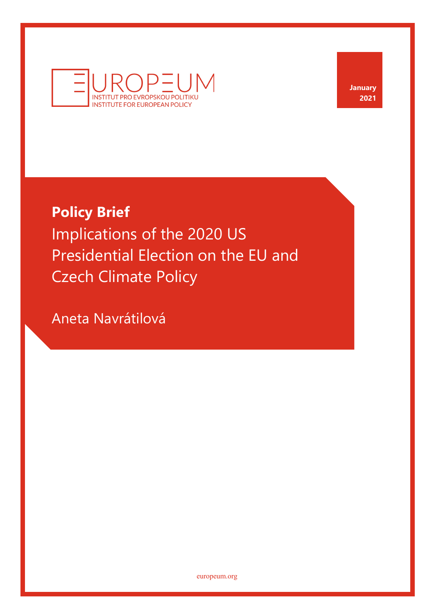

**January 2021**

# **Policy Brief**

Implications of the 2020 US Presidential Election on the EU and Czech Climate Policy

Aneta Navrátilová

europeum.org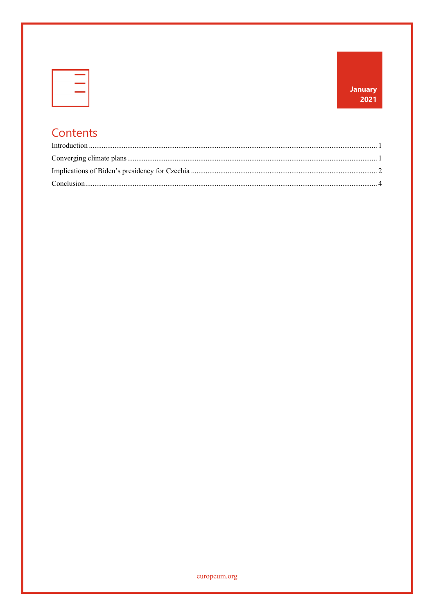| _____  |
|--------|
|        |
| ______ |
|        |

## Contents

europeum.org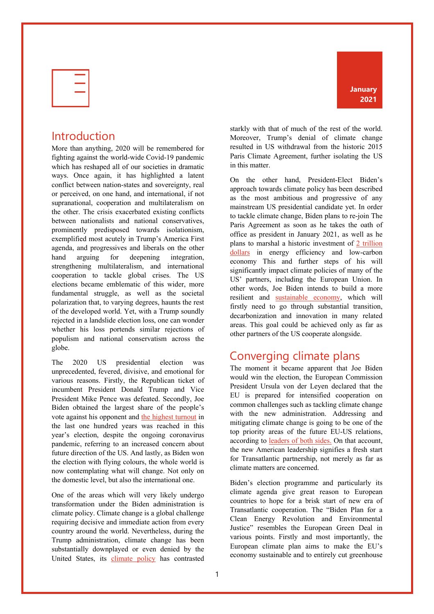

#### Introduction

More than anything, 2020 will be remembered for fighting against the world-wide Covid-19 pandemic which has reshaped all of our societies in dramatic ways. Once again, it has highlighted a latent conflict between nation-states and sovereignty, real or perceived, on one hand, and international, if not supranational, cooperation and multilateralism on the other. The crisis exacerbated existing conflicts between nationalists and national conservatives, prominently predisposed towards isolationism, exemplified most acutely in Trump's America First agenda, and progressives and liberals on the other hand arguing for deepening integration, strengthening multilateralism, and international cooperation to tackle global crises. The US elections became emblematic of this wider, more fundamental struggle, as well as the societal polarization that, to varying degrees, haunts the rest of the developed world. Yet, with a Trump soundly rejected in a landslide election loss, one can wonder whether his loss portends similar rejections of populism and national conservatism across the globe.

The 2020 US presidential election was unprecedented, fevered, divisive, and emotional for various reasons. Firstly, the Republican ticket of incumbent President Donald Trump and Vice President Mike Pence was defeated. Secondly, Joe Biden obtained the largest share of the people's vote against his opponent and the highest turnout in the last one hundred years was reached in this year's election, despite the ongoing coronavirus pandemic, referring to an increased concern about future direction of the US. And lastly, as Biden won the election with flying colours, the whole world is now contemplating what will change. Not only on the domestic level, but also the international one.

One of the areas which will very likely undergo transformation under the Biden administration is climate policy. Climate change is a global challenge requiring decisive and immediate action from every country around the world. Nevertheless, during the Trump administration, climate change has been substantially downplayed or even denied by the United States, its climate policy has contrasted

**January 2021**

starkly with that of much of the rest of the world. Moreover, Trump's denial of climate change resulted in US withdrawal from the historic 2015 Paris Climate Agreement, further isolating the US in this matter.

On the other hand, President-Elect Biden's approach towards climate policy has been described as the most ambitious and progressive of any mainstream US presidential candidate yet. In order to tackle climate change, Biden plans to re-join The Paris Agreement as soon as he takes the oath of office as president in January 2021, as well as he plans to marshal a historic investment of 2 trillion dollars in energy efficiency and low-carbon economy This and further steps of his will significantly impact climate policies of many of the US' partners, including the European Union. In other words, Joe Biden intends to build a more resilient and sustainable economy, which will firstly need to go through substantial transition, decarbonization and innovation in many related areas. This goal could be achieved only as far as other partners of the US cooperate alongside.

#### Converging climate plans

The moment it became apparent that Joe Biden would win the election, the European Commission President Ursula von der Leyen declared that the EU is prepared for intensified cooperation on common challenges such as tackling climate change with the new administration. Addressing and mitigating climate change is going to be one of the top priority areas of the future EU-US relations, according to leaders of both sides. On that account, the new American leadership signifies a fresh start for Transatlantic partnership, not merely as far as climate matters are concerned.

Biden's election programme and particularly its climate agenda give great reason to European countries to hope for a brisk start of new era of Transatlantic cooperation. The "Biden Plan for a Clean Energy Revolution and Environmental Justice" resembles the European Green Deal in various points. Firstly and most importantly, the European climate plan aims to make the EU's economy sustainable and to entirely cut greenhouse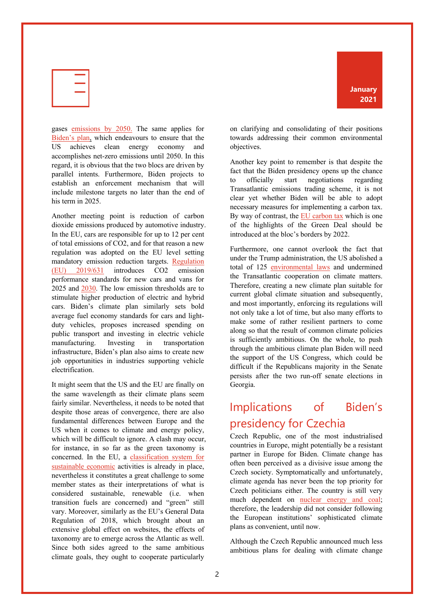

gases emissions by 2050. The same applies for Biden's plan, which endeavours to ensure that the US achieves clean energy economy and accomplishes net-zero emissions until 2050. In this regard, it is obvious that the two blocs are driven by parallel intents. Furthermore, Biden projects to establish an enforcement mechanism that will include milestone targets no later than the end of his term in 2025.

Another meeting point is reduction of carbon dioxide emissions produced by automotive industry. In the EU, cars are responsible for up to 12 per cent of total emissions of CO2, and for that reason a new regulation was adopted on the EU level setting mandatory emission reduction targets. Regulation (EU) 2019/631 introduces CO2 emission performance standards for new cars and vans for 2025 and 2030. The low emission thresholds are to stimulate higher production of electric and hybrid cars. Biden's climate plan similarly sets bold average fuel economy standards for cars and lightduty vehicles, proposes increased spending on public transport and investing in electric vehicle manufacturing. Investing in transportation infrastructure, Biden's plan also aims to create new job opportunities in industries supporting vehicle electrification.

It might seem that the US and the EU are finally on the same wavelength as their climate plans seem fairly similar. Nevertheless, it needs to be noted that despite those areas of convergence, there are also fundamental differences between Europe and the US when it comes to climate and energy policy, which will be difficult to ignore. A clash may occur, for instance, in so far as the green taxonomy is concerned. In the EU, a classification system for sustainable economic activities is already in place, nevertheless it constitutes a great challenge to some member states as their interpretations of what is considered sustainable, renewable (i.e. when transition fuels are concerned) and "green" still vary. Moreover, similarly as the EU's General Data Regulation of 2018, which brought about an extensive global effect on websites, the effects of taxonomy are to emerge across the Atlantic as well. Since both sides agreed to the same ambitious climate goals, they ought to cooperate particularly



on clarifying and consolidating of their positions towards addressing their common environmental objectives.

Another key point to remember is that despite the fact that the Biden presidency opens up the chance to officially start negotiations regarding Transatlantic emissions trading scheme, it is not clear yet whether Biden will be able to adopt necessary measures for implementing a carbon tax. By way of contrast, the EU carbon tax which is one of the highlights of the Green Deal should be introduced at the bloc's borders by 2022.

Furthermore, one cannot overlook the fact that under the Trump administration, the US abolished a total of 125 environmental laws and undermined the Transatlantic cooperation on climate matters. Therefore, creating a new climate plan suitable for current global climate situation and subsequently, and most importantly, enforcing its regulations will not only take a lot of time, but also many efforts to make some of rather resilient partners to come along so that the result of common climate policies is sufficiently ambitious. On the whole, to push through the ambitious climate plan Biden will need the support of the US Congress, which could be difficult if the Republicans majority in the Senate persists after the two run-off senate elections in Georgia.

## Implications of Biden's presidency for Czechia

Czech Republic, one of the most industrialised countries in Europe, might potentially be a resistant partner in Europe for Biden. Climate change has often been perceived as a divisive issue among the Czech society. Symptomatically and unfortunately, climate agenda has never been the top priority for Czech politicians either. The country is still very much dependent on nuclear energy and coal; therefore, the leadership did not consider following the European institutions' sophisticated climate plans as convenient, until now.

Although the Czech Republic announced much less ambitious plans for dealing with climate change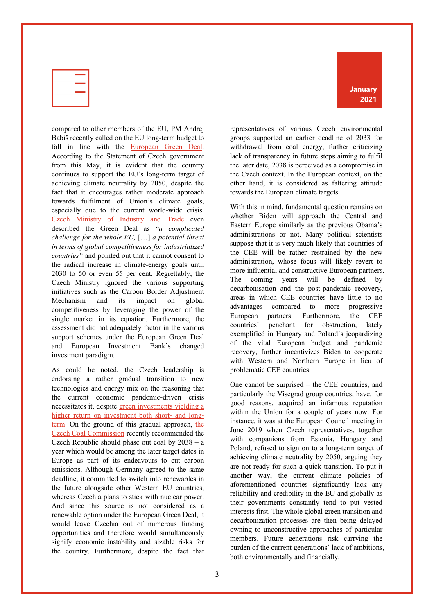

compared to other members of the EU, PM Andrej Babiš recently called on the EU long-term budget to fall in line with the European Green Deal. According to the Statement of Czech government from this May, it is evident that the country continues to support the EU's long-term target of achieving climate neutrality by 2050, despite the fact that it encourages rather moderate approach towards fulfilment of Union's climate goals, especially due to the current world-wide crisis. Czech Ministry of Industry and Trade even described the Green Deal as "*a complicated challenge for the whole EU,* […] *a potential threat in terms of global competitiveness for industrialized countries"* and pointed out that it cannot consent to the radical increase in climate-energy goals until 2030 to 50 or even 55 per cent. Regrettably, the Czech Ministry ignored the various supporting initiatives such as the Carbon Border Adjustment Mechanism and its impact on global competitiveness by leveraging the power of the single market in its equation. Furthermore, the assessment did not adequately factor in the various support schemes under the European Green Deal and European Investment Bank's changed investment paradigm.

As could be noted, the Czech leadership is endorsing a rather gradual transition to new technologies and energy mix on the reasoning that the current economic pandemic-driven crisis necessitates it, despite green investments yielding a higher return on investment both short- and longterm. On the ground of this gradual approach, the Czech Coal Commission recently recommended the Czech Republic should phase out coal by  $2038 - a$ year which would be among the later target dates in Europe as part of its endeavours to cut carbon emissions. Although Germany agreed to the same deadline, it committed to switch into renewables in the future alongside other Western EU countries, whereas Czechia plans to stick with nuclear power. And since this source is not considered as a renewable option under the European Green Deal, it would leave Czechia out of numerous funding opportunities and therefore would simultaneously signify economic instability and sizable risks for the country. Furthermore, despite the fact that **January 2021**

representatives of various Czech environmental groups supported an earlier deadline of 2033 for withdrawal from coal energy, further criticizing lack of transparency in future steps aiming to fulfil the later date, 2038 is perceived as a compromise in the Czech context. In the European context, on the other hand, it is considered as faltering attitude towards the European climate targets.

With this in mind, fundamental question remains on whether Biden will approach the Central and Eastern Europe similarly as the previous Obama's administrations or not. Many political scientists suppose that it is very much likely that countries of the CEE will be rather restrained by the new administration, whose focus will likely revert to more influential and constructive European partners. The coming years will be defined by decarbonisation and the post-pandemic recovery, areas in which CEE countries have little to no advantages compared to more progressive European partners. Furthermore, the CEE countries' penchant for obstruction, lately exemplified in Hungary and Poland's jeopardizing of the vital European budget and pandemic recovery, further incentivizes Biden to cooperate with Western and Northern Europe in lieu of problematic CEE countries.

One cannot be surprised – the CEE countries, and particularly the Visegrad group countries, have, for good reasons, acquired an infamous reputation within the Union for a couple of years now. For instance, it was at the European Council meeting in June 2019 when Czech representatives, together with companions from Estonia, Hungary and Poland, refused to sign on to a long-term target of achieving climate neutrality by 2050, arguing they are not ready for such a quick transition. To put it another way, the current climate policies of aforementioned countries significantly lack any reliability and credibility in the EU and globally as their governments constantly tend to put vested interests first. The whole global green transition and decarbonization processes are then being delayed owning to unconstructive approaches of particular members. Future generations risk carrying the burden of the current generations' lack of ambitions, both environmentally and financially.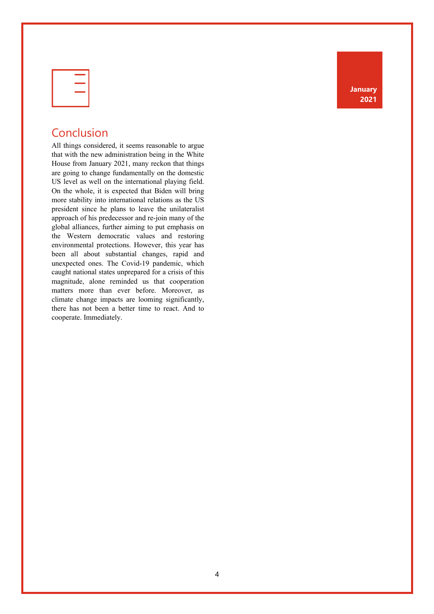**January 2021**

| ______ |  |
|--------|--|
|        |  |
| ______ |  |
|        |  |

#### Conclusion

All things considered, it seems reasonable to argue that with the new administration being in the White House from January 2021, many reckon that things are going to change fundamentally on the domestic US level as well on the international playing field. On the whole, it is expected that Biden will bring more stability into international relations as the US president since he plans to leave the unilateralist approach of his predecessor and re-join many of the global alliances, further aiming to put emphasis on the Western democratic values and restoring environmental protections. However, this year has been all about substantial changes, rapid and unexpected ones. The Covid-19 pandemic, which caught national states unprepared for a crisis of this magnitude, alone reminded us that cooperation matters more than ever before. Moreover, as climate change impacts are looming significantly, there has not been a better time to react. And to cooperate. Immediately.